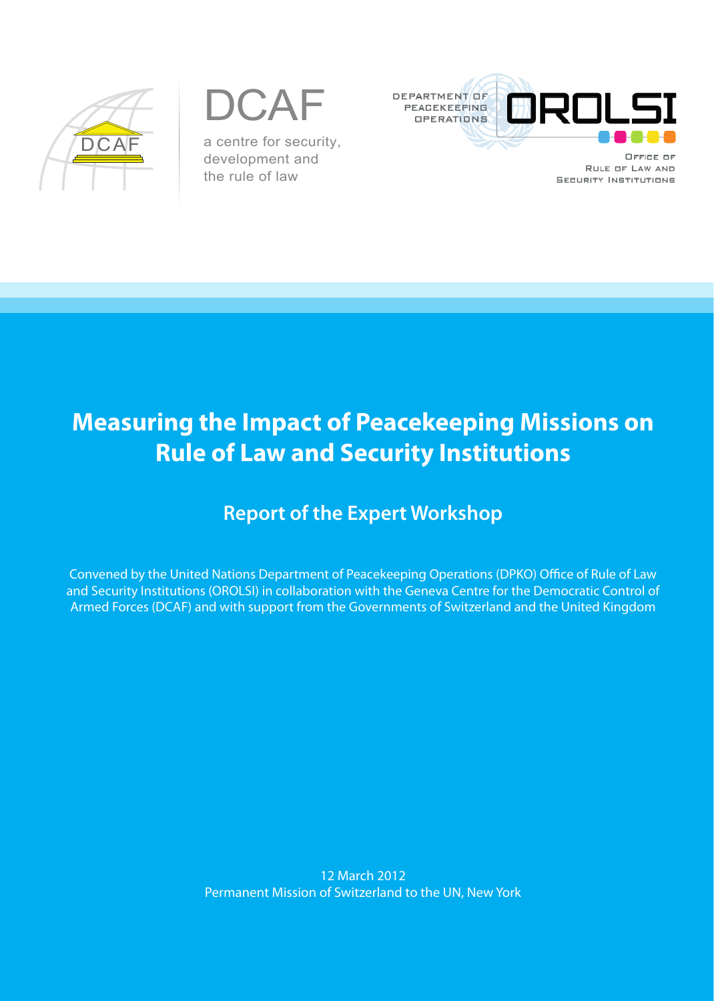

DCAF a centre for security, development and the rule of law



RULE OF LAW AND **SECURITY INSTITUTIONS** 

# **Measuring the Impact of Peacekeeping Missions on Rule of Law and Security Institutions**

## **Report of the Expert Workshop**

Convened by the United Nations Department of Peacekeeping Operations (DPKO) Office of Rule of Law and Security Institutions (OROLSI) in collaboration with the Geneva Centre for the Democratic Control of Armed Forces (DCAF) and with support from the Governments of Switzerland and the United Kingdom

> 12 March 2012 Permanent Mission of Switzerland to the UN, New York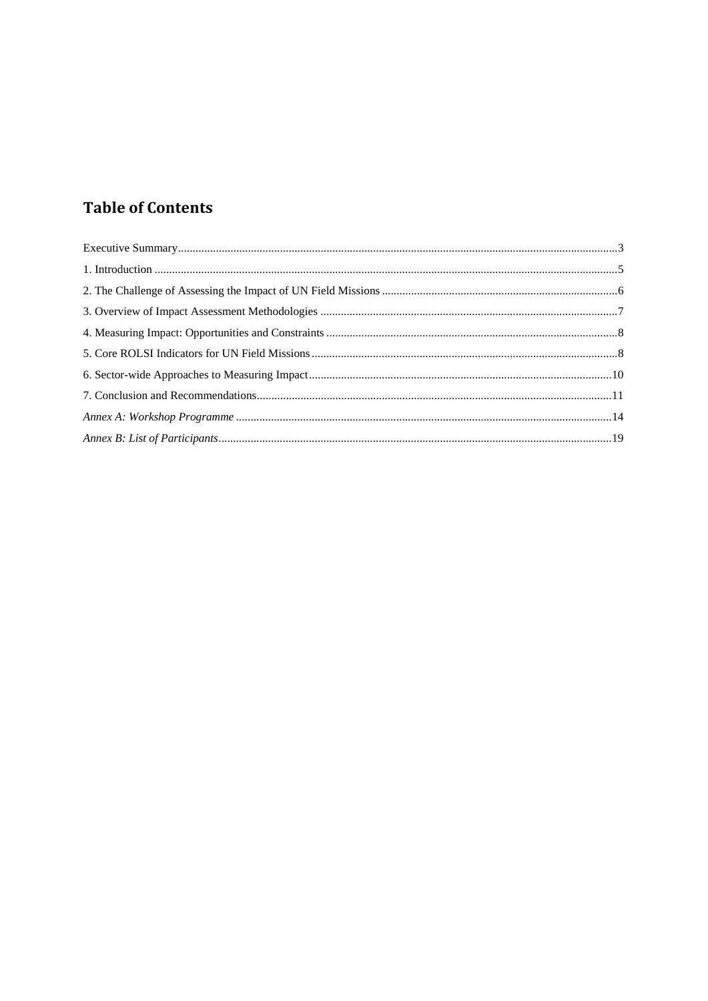## **Table of Contents**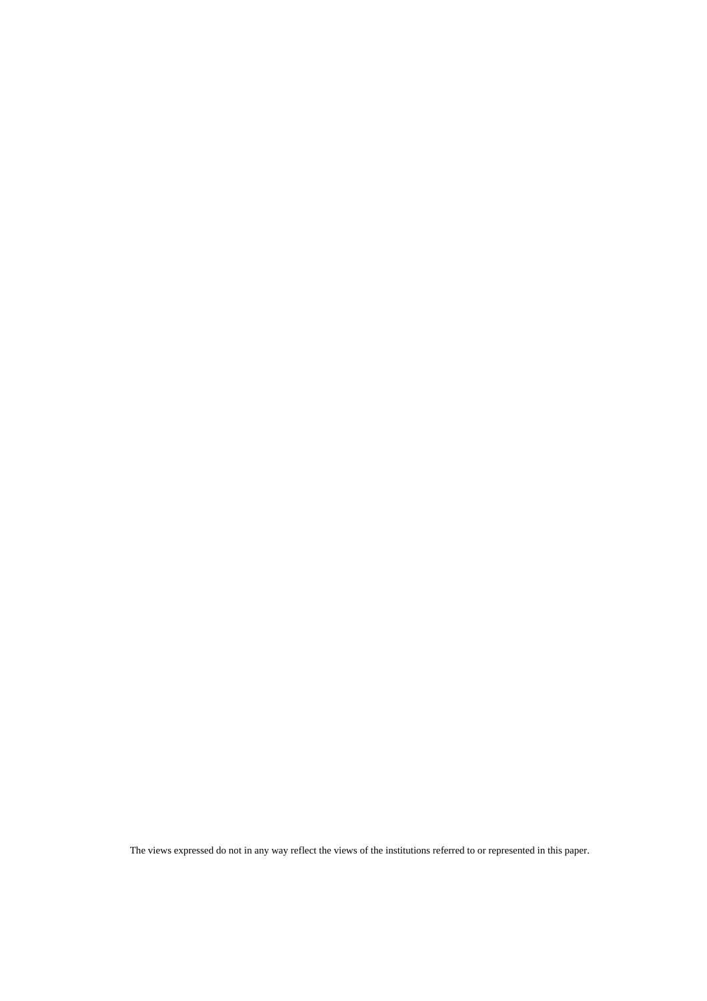The views expressed do not in any way reflect the views of the institutions referred to or represented in this paper.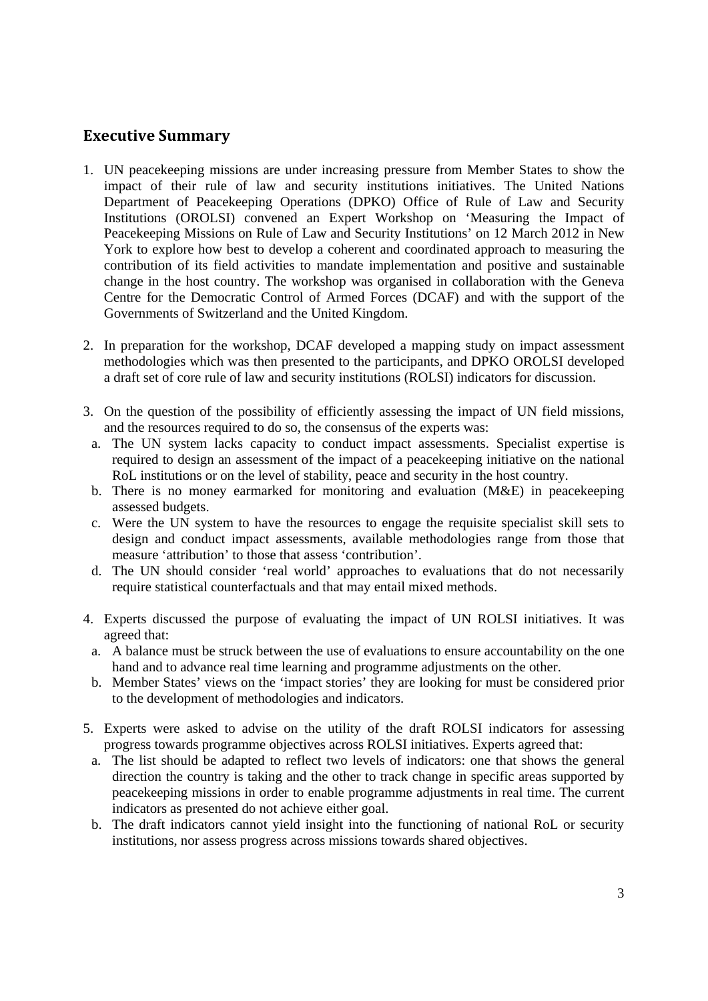## **Executive Summary**

- 1. UN peacekeeping missions are under increasing pressure from Member States to show the impact of their rule of law and security institutions initiatives. The United Nations Department of Peacekeeping Operations (DPKO) Office of Rule of Law and Security Institutions (OROLSI) convened an Expert Workshop on 'Measuring the Impact of Peacekeeping Missions on Rule of Law and Security Institutions' on 12 March 2012 in New York to explore how best to develop a coherent and coordinated approach to measuring the contribution of its field activities to mandate implementation and positive and sustainable change in the host country. The workshop was organised in collaboration with the Geneva Centre for the Democratic Control of Armed Forces (DCAF) and with the support of the Governments of Switzerland and the United Kingdom.
- 2. In preparation for the workshop, DCAF developed a mapping study on impact assessment methodologies which was then presented to the participants, and DPKO OROLSI developed a draft set of core rule of law and security institutions (ROLSI) indicators for discussion.
- 3. On the question of the possibility of efficiently assessing the impact of UN field missions, and the resources required to do so, the consensus of the experts was:
	- a. The UN system lacks capacity to conduct impact assessments. Specialist expertise is required to design an assessment of the impact of a peacekeeping initiative on the national RoL institutions or on the level of stability, peace and security in the host country.
	- b. There is no money earmarked for monitoring and evaluation (M&E) in peacekeeping assessed budgets.
	- c. Were the UN system to have the resources to engage the requisite specialist skill sets to design and conduct impact assessments, available methodologies range from those that measure 'attribution' to those that assess 'contribution'.
	- d. The UN should consider 'real world' approaches to evaluations that do not necessarily require statistical counterfactuals and that may entail mixed methods.
- 4. Experts discussed the purpose of evaluating the impact of UN ROLSI initiatives. It was agreed that:
	- a. A balance must be struck between the use of evaluations to ensure accountability on the one hand and to advance real time learning and programme adjustments on the other.
	- b. Member States' views on the 'impact stories' they are looking for must be considered prior to the development of methodologies and indicators.
- 5. Experts were asked to advise on the utility of the draft ROLSI indicators for assessing progress towards programme objectives across ROLSI initiatives. Experts agreed that:
	- a. The list should be adapted to reflect two levels of indicators: one that shows the general direction the country is taking and the other to track change in specific areas supported by peacekeeping missions in order to enable programme adjustments in real time. The current indicators as presented do not achieve either goal.
	- b. The draft indicators cannot yield insight into the functioning of national RoL or security institutions, nor assess progress across missions towards shared objectives.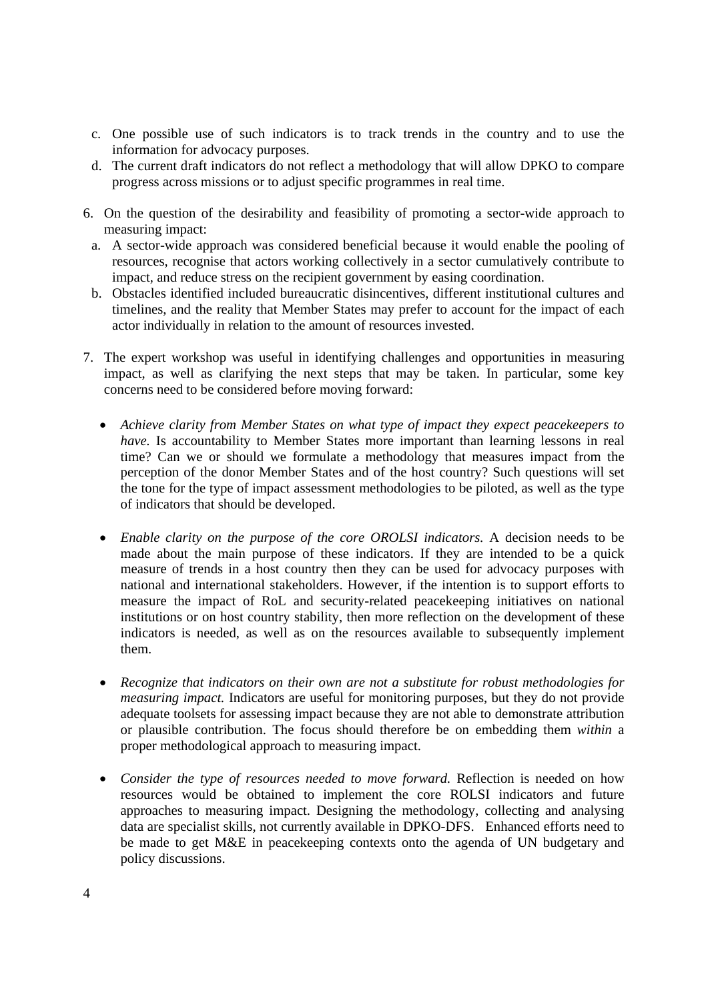- c. One possible use of such indicators is to track trends in the country and to use the information for advocacy purposes.
- d. The current draft indicators do not reflect a methodology that will allow DPKO to compare progress across missions or to adjust specific programmes in real time.
- 6. On the question of the desirability and feasibility of promoting a sector-wide approach to measuring impact:
	- a. A sector-wide approach was considered beneficial because it would enable the pooling of resources, recognise that actors working collectively in a sector cumulatively contribute to impact, and reduce stress on the recipient government by easing coordination.
	- b. Obstacles identified included bureaucratic disincentives, different institutional cultures and timelines, and the reality that Member States may prefer to account for the impact of each actor individually in relation to the amount of resources invested.
- 7. The expert workshop was useful in identifying challenges and opportunities in measuring impact, as well as clarifying the next steps that may be taken. In particular, some key concerns need to be considered before moving forward:
	- *Achieve clarity from Member States on what type of impact they expect peacekeepers to have.* Is accountability to Member States more important than learning lessons in real time? Can we or should we formulate a methodology that measures impact from the perception of the donor Member States and of the host country? Such questions will set the tone for the type of impact assessment methodologies to be piloted, as well as the type of indicators that should be developed.
	- *Enable clarity on the purpose of the core OROLSI indicators.* A decision needs to be made about the main purpose of these indicators. If they are intended to be a quick measure of trends in a host country then they can be used for advocacy purposes with national and international stakeholders. However, if the intention is to support efforts to measure the impact of RoL and security-related peacekeeping initiatives on national institutions or on host country stability, then more reflection on the development of these indicators is needed, as well as on the resources available to subsequently implement them.
	- *Recognize that indicators on their own are not a substitute for robust methodologies for measuring impact.* Indicators are useful for monitoring purposes, but they do not provide adequate toolsets for assessing impact because they are not able to demonstrate attribution or plausible contribution. The focus should therefore be on embedding them *within* a proper methodological approach to measuring impact.
	- *Consider the type of resources needed to move forward.* Reflection is needed on how resources would be obtained to implement the core ROLSI indicators and future approaches to measuring impact. Designing the methodology, collecting and analysing data are specialist skills, not currently available in DPKO-DFS. Enhanced efforts need to be made to get M&E in peacekeeping contexts onto the agenda of UN budgetary and policy discussions.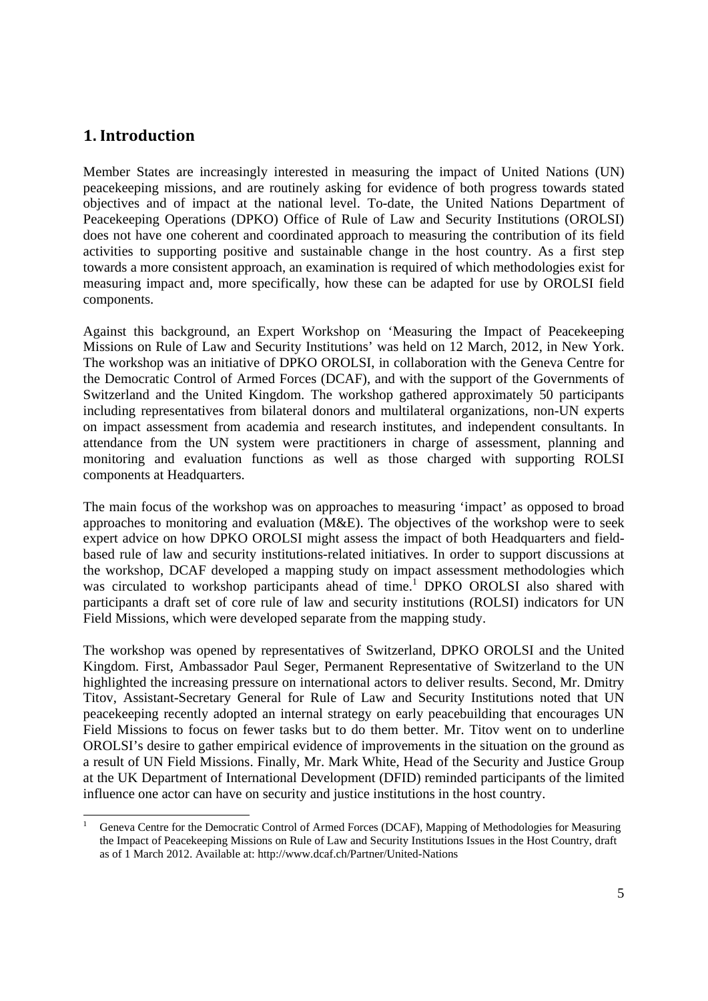## **1. Introduction**

<u> Andrew Maria (1989)</u>

Member States are increasingly interested in measuring the impact of United Nations (UN) peacekeeping missions, and are routinely asking for evidence of both progress towards stated objectives and of impact at the national level. To-date, the United Nations Department of Peacekeeping Operations (DPKO) Office of Rule of Law and Security Institutions (OROLSI) does not have one coherent and coordinated approach to measuring the contribution of its field activities to supporting positive and sustainable change in the host country. As a first step towards a more consistent approach, an examination is required of which methodologies exist for measuring impact and, more specifically, how these can be adapted for use by OROLSI field components.

Against this background, an Expert Workshop on 'Measuring the Impact of Peacekeeping Missions on Rule of Law and Security Institutions' was held on 12 March, 2012, in New York. The workshop was an initiative of DPKO OROLSI, in collaboration with the Geneva Centre for the Democratic Control of Armed Forces (DCAF), and with the support of the Governments of Switzerland and the United Kingdom. The workshop gathered approximately 50 participants including representatives from bilateral donors and multilateral organizations, non-UN experts on impact assessment from academia and research institutes, and independent consultants. In attendance from the UN system were practitioners in charge of assessment, planning and monitoring and evaluation functions as well as those charged with supporting ROLSI components at Headquarters.

The main focus of the workshop was on approaches to measuring 'impact' as opposed to broad approaches to monitoring and evaluation (M&E). The objectives of the workshop were to seek expert advice on how DPKO OROLSI might assess the impact of both Headquarters and fieldbased rule of law and security institutions-related initiatives. In order to support discussions at the workshop, DCAF developed a mapping study on impact assessment methodologies which was circulated to workshop participants ahead of time.<sup>1</sup> DPKO OROLSI also shared with participants a draft set of core rule of law and security institutions (ROLSI) indicators for UN Field Missions, which were developed separate from the mapping study.

The workshop was opened by representatives of Switzerland, DPKO OROLSI and the United Kingdom. First, Ambassador Paul Seger, Permanent Representative of Switzerland to the UN highlighted the increasing pressure on international actors to deliver results. Second, Mr. Dmitry Titov, Assistant-Secretary General for Rule of Law and Security Institutions noted that UN peacekeeping recently adopted an internal strategy on early peacebuilding that encourages UN Field Missions to focus on fewer tasks but to do them better. Mr. Titov went on to underline OROLSI's desire to gather empirical evidence of improvements in the situation on the ground as a result of UN Field Missions. Finally, Mr. Mark White, Head of the Security and Justice Group at the UK Department of International Development (DFID) reminded participants of the limited influence one actor can have on security and justice institutions in the host country.

<sup>1</sup> Geneva Centre for the Democratic Control of Armed Forces (DCAF), Mapping of Methodologies for Measuring the Impact of Peacekeeping Missions on Rule of Law and Security Institutions Issues in the Host Country, draft as of 1 March 2012. Available at: http://www.dcaf.ch/Partner/United-Nations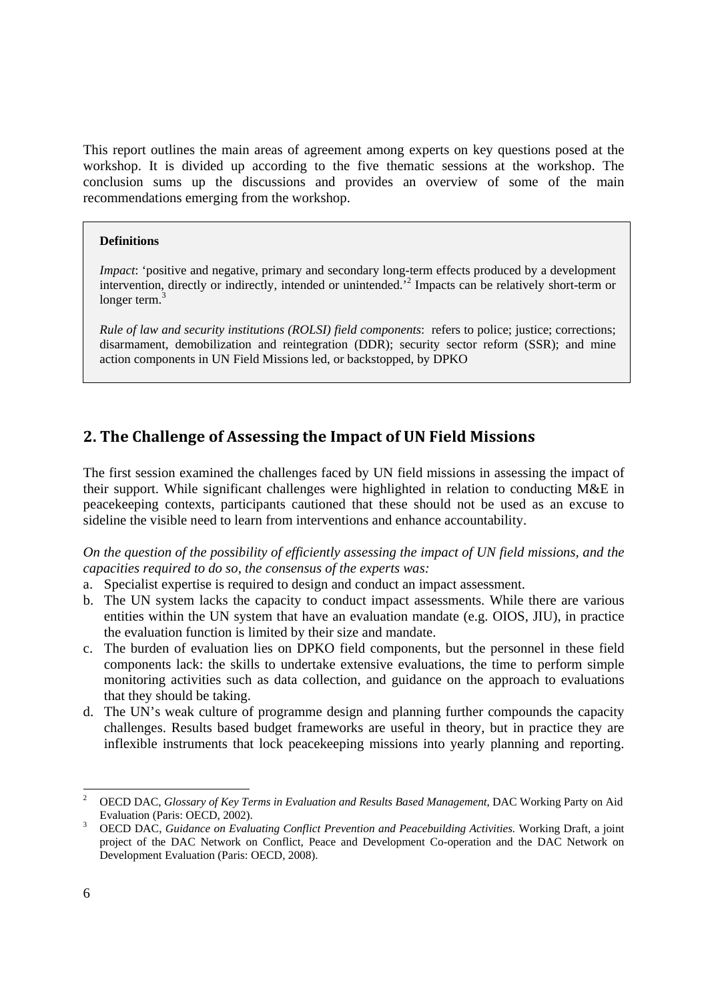This report outlines the main areas of agreement among experts on key questions posed at the workshop. It is divided up according to the five thematic sessions at the workshop. The conclusion sums up the discussions and provides an overview of some of the main recommendations emerging from the workshop.

#### **Definitions**

*Impact*: 'positive and negative, primary and secondary long-term effects produced by a development intervention, directly or indirectly, intended or unintended.<sup>2</sup> Impacts can be relatively short-term or longer term.<sup>3</sup>

*Rule of law and security institutions (ROLSI) field components*: refers to police; justice; corrections; disarmament, demobilization and reintegration (DDR); security sector reform (SSR); and mine action components in UN Field Missions led, or backstopped, by DPKO

## **2. The Challenge of Assessing the Impact of UN Field Missions**

The first session examined the challenges faced by UN field missions in assessing the impact of their support. While significant challenges were highlighted in relation to conducting M&E in peacekeeping contexts, participants cautioned that these should not be used as an excuse to sideline the visible need to learn from interventions and enhance accountability.

*On the question of the possibility of efficiently assessing the impact of UN field missions, and the capacities required to do so, the consensus of the experts was:* 

- a. Specialist expertise is required to design and conduct an impact assessment.
- b. The UN system lacks the capacity to conduct impact assessments. While there are various entities within the UN system that have an evaluation mandate (e.g. OIOS, JIU), in practice the evaluation function is limited by their size and mandate.
- c. The burden of evaluation lies on DPKO field components, but the personnel in these field components lack: the skills to undertake extensive evaluations, the time to perform simple monitoring activities such as data collection, and guidance on the approach to evaluations that they should be taking.
- d. The UN's weak culture of programme design and planning further compounds the capacity challenges. Results based budget frameworks are useful in theory, but in practice they are inflexible instruments that lock peacekeeping missions into yearly planning and reporting.

<u> Andrew Maria (1989)</u>

<sup>2</sup> OECD DAC, *Glossary of Key Terms in Evaluation and Results Based Management*, DAC Working Party on Aid Evaluation (Paris: OECD, 2002).

OECD DAC, *Guidance on Evaluating Conflict Prevention and Peacebuilding Activities.* Working Draft, a joint project of the DAC Network on Conflict, Peace and Development Co-operation and the DAC Network on Development Evaluation (Paris: OECD, 2008).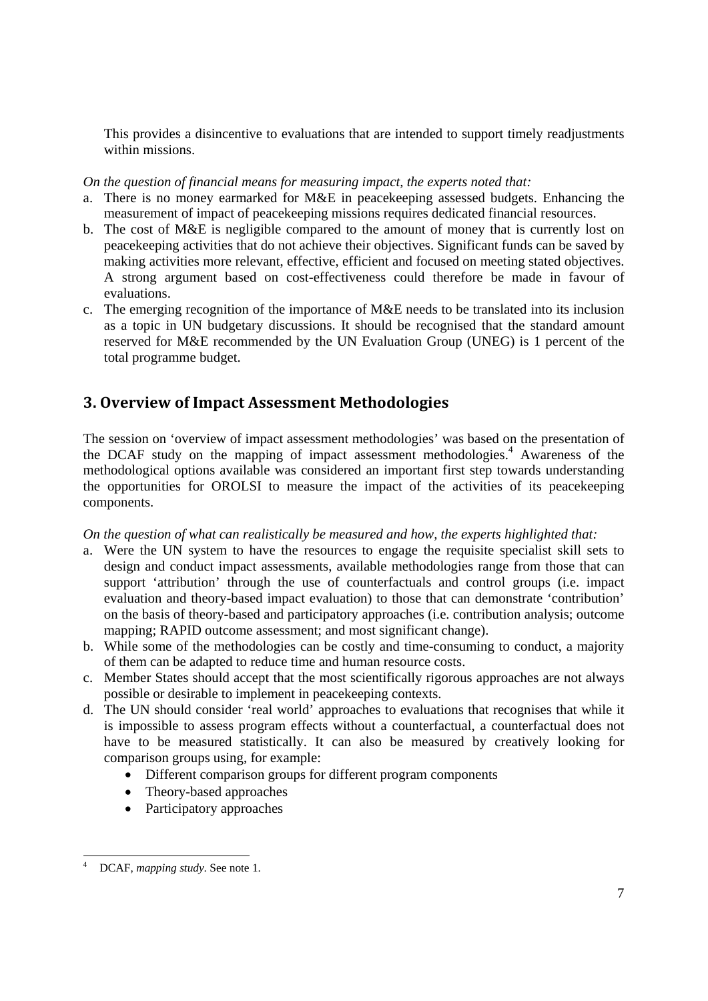This provides a disincentive to evaluations that are intended to support timely readjustments within missions.

*On the question of financial means for measuring impact, the experts noted that:* 

- a. There is no money earmarked for M&E in peacekeeping assessed budgets. Enhancing the measurement of impact of peacekeeping missions requires dedicated financial resources.
- b. The cost of M&E is negligible compared to the amount of money that is currently lost on peacekeeping activities that do not achieve their objectives. Significant funds can be saved by making activities more relevant, effective, efficient and focused on meeting stated objectives. A strong argument based on cost-effectiveness could therefore be made in favour of evaluations.
- c. The emerging recognition of the importance of  $M\&E$  needs to be translated into its inclusion as a topic in UN budgetary discussions. It should be recognised that the standard amount reserved for M&E recommended by the UN Evaluation Group (UNEG) is 1 percent of the total programme budget.

## **3. Overview of Impact Assessment Methodologies**

The session on 'overview of impact assessment methodologies' was based on the presentation of the DCAF study on the mapping of impact assessment methodologies.<sup>4</sup> Awareness of the methodological options available was considered an important first step towards understanding the opportunities for OROLSI to measure the impact of the activities of its peacekeeping components.

## *On the question of what can realistically be measured and how, the experts highlighted that:*

- a. Were the UN system to have the resources to engage the requisite specialist skill sets to design and conduct impact assessments, available methodologies range from those that can support 'attribution' through the use of counterfactuals and control groups (i.e. impact evaluation and theory-based impact evaluation) to those that can demonstrate 'contribution' on the basis of theory-based and participatory approaches (i.e. contribution analysis; outcome mapping; RAPID outcome assessment; and most significant change).
- b. While some of the methodologies can be costly and time-consuming to conduct, a majority of them can be adapted to reduce time and human resource costs.
- c. Member States should accept that the most scientifically rigorous approaches are not always possible or desirable to implement in peacekeeping contexts.
- d. The UN should consider 'real world' approaches to evaluations that recognises that while it is impossible to assess program effects without a counterfactual, a counterfactual does not have to be measured statistically. It can also be measured by creatively looking for comparison groups using, for example:
	- Different comparison groups for different program components
	- Theory-based approaches
	- Participatory approaches

<sup>&</sup>lt;u> Andrew Maria (1989)</u> 4 DCAF, *mapping study*. See note 1.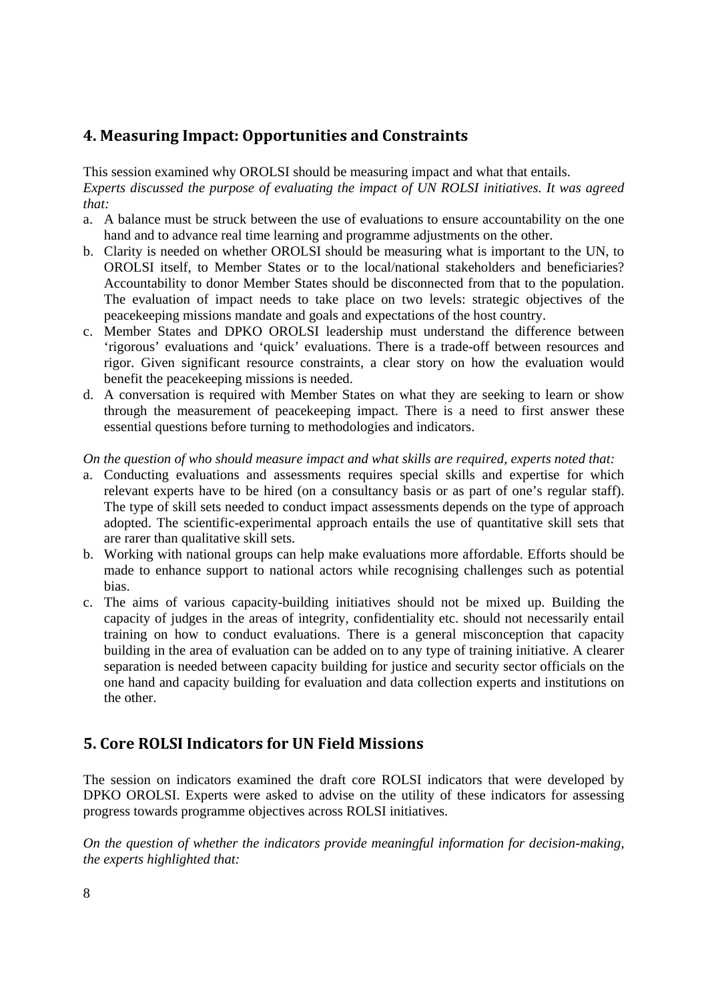## **4. Measuring Impact: Opportunities and Constraints**

This session examined why OROLSI should be measuring impact and what that entails. *Experts discussed the purpose of evaluating the impact of UN ROLSI initiatives. It was agreed that:* 

- a. A balance must be struck between the use of evaluations to ensure accountability on the one hand and to advance real time learning and programme adjustments on the other.
- b. Clarity is needed on whether OROLSI should be measuring what is important to the UN, to OROLSI itself, to Member States or to the local/national stakeholders and beneficiaries? Accountability to donor Member States should be disconnected from that to the population. The evaluation of impact needs to take place on two levels: strategic objectives of the peacekeeping missions mandate and goals and expectations of the host country.
- c. Member States and DPKO OROLSI leadership must understand the difference between 'rigorous' evaluations and 'quick' evaluations. There is a trade-off between resources and rigor. Given significant resource constraints, a clear story on how the evaluation would benefit the peacekeeping missions is needed.
- d. A conversation is required with Member States on what they are seeking to learn or show through the measurement of peacekeeping impact. There is a need to first answer these essential questions before turning to methodologies and indicators.

*On the question of who should measure impact and what skills are required, experts noted that:* 

- a. Conducting evaluations and assessments requires special skills and expertise for which relevant experts have to be hired (on a consultancy basis or as part of one's regular staff). The type of skill sets needed to conduct impact assessments depends on the type of approach adopted. The scientific-experimental approach entails the use of quantitative skill sets that are rarer than qualitative skill sets.
- b. Working with national groups can help make evaluations more affordable. Efforts should be made to enhance support to national actors while recognising challenges such as potential bias.
- c. The aims of various capacity-building initiatives should not be mixed up. Building the capacity of judges in the areas of integrity, confidentiality etc. should not necessarily entail training on how to conduct evaluations. There is a general misconception that capacity building in the area of evaluation can be added on to any type of training initiative. A clearer separation is needed between capacity building for justice and security sector officials on the one hand and capacity building for evaluation and data collection experts and institutions on the other.

## **5. Core ROLSI Indicators for UN Field Missions**

The session on indicators examined the draft core ROLSI indicators that were developed by DPKO OROLSI. Experts were asked to advise on the utility of these indicators for assessing progress towards programme objectives across ROLSI initiatives.

*On the question of whether the indicators provide meaningful information for decision-making, the experts highlighted that:*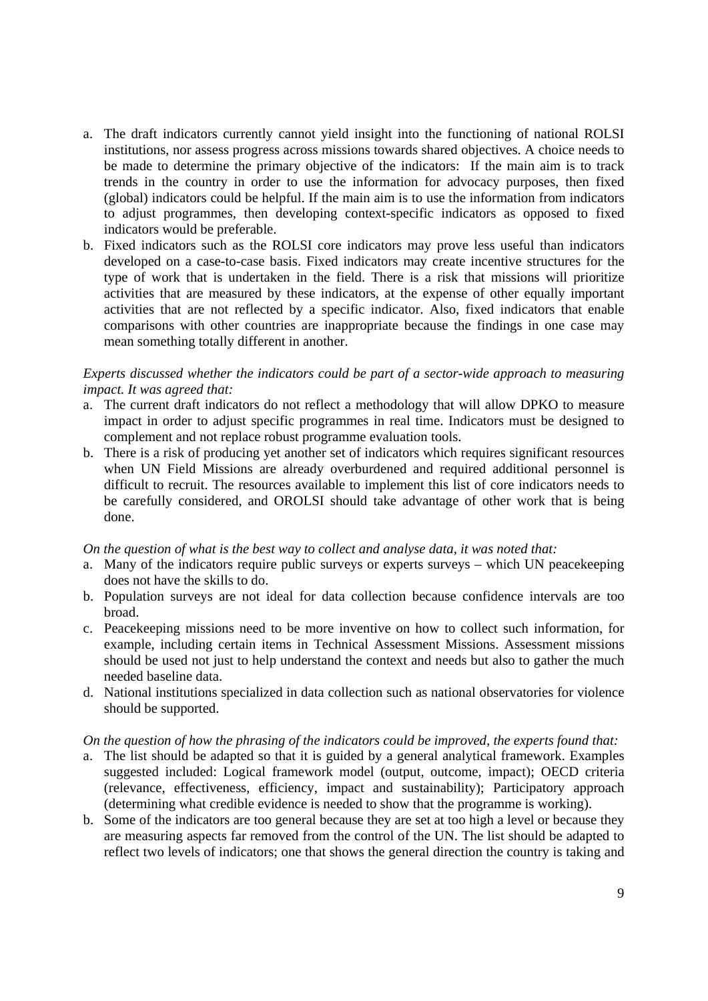- a. The draft indicators currently cannot yield insight into the functioning of national ROLSI institutions, nor assess progress across missions towards shared objectives. A choice needs to be made to determine the primary objective of the indicators: If the main aim is to track trends in the country in order to use the information for advocacy purposes, then fixed (global) indicators could be helpful. If the main aim is to use the information from indicators to adjust programmes, then developing context-specific indicators as opposed to fixed indicators would be preferable.
- b. Fixed indicators such as the ROLSI core indicators may prove less useful than indicators developed on a case-to-case basis. Fixed indicators may create incentive structures for the type of work that is undertaken in the field. There is a risk that missions will prioritize activities that are measured by these indicators, at the expense of other equally important activities that are not reflected by a specific indicator. Also, fixed indicators that enable comparisons with other countries are inappropriate because the findings in one case may mean something totally different in another.

## *Experts discussed whether the indicators could be part of a sector-wide approach to measuring impact. It was agreed that:*

- a. The current draft indicators do not reflect a methodology that will allow DPKO to measure impact in order to adjust specific programmes in real time. Indicators must be designed to complement and not replace robust programme evaluation tools.
- b. There is a risk of producing yet another set of indicators which requires significant resources when UN Field Missions are already overburdened and required additional personnel is difficult to recruit. The resources available to implement this list of core indicators needs to be carefully considered, and OROLSI should take advantage of other work that is being done.

## *On the question of what is the best way to collect and analyse data, it was noted that:*

- a. Many of the indicators require public surveys or experts surveys which UN peacekeeping does not have the skills to do.
- b. Population surveys are not ideal for data collection because confidence intervals are too broad.
- c. Peacekeeping missions need to be more inventive on how to collect such information, for example, including certain items in Technical Assessment Missions. Assessment missions should be used not just to help understand the context and needs but also to gather the much needed baseline data.
- d. National institutions specialized in data collection such as national observatories for violence should be supported.

## *On the question of how the phrasing of the indicators could be improved, the experts found that:*

- a. The list should be adapted so that it is guided by a general analytical framework. Examples suggested included: Logical framework model (output, outcome, impact); OECD criteria (relevance, effectiveness, efficiency, impact and sustainability); Participatory approach (determining what credible evidence is needed to show that the programme is working).
- b. Some of the indicators are too general because they are set at too high a level or because they are measuring aspects far removed from the control of the UN. The list should be adapted to reflect two levels of indicators; one that shows the general direction the country is taking and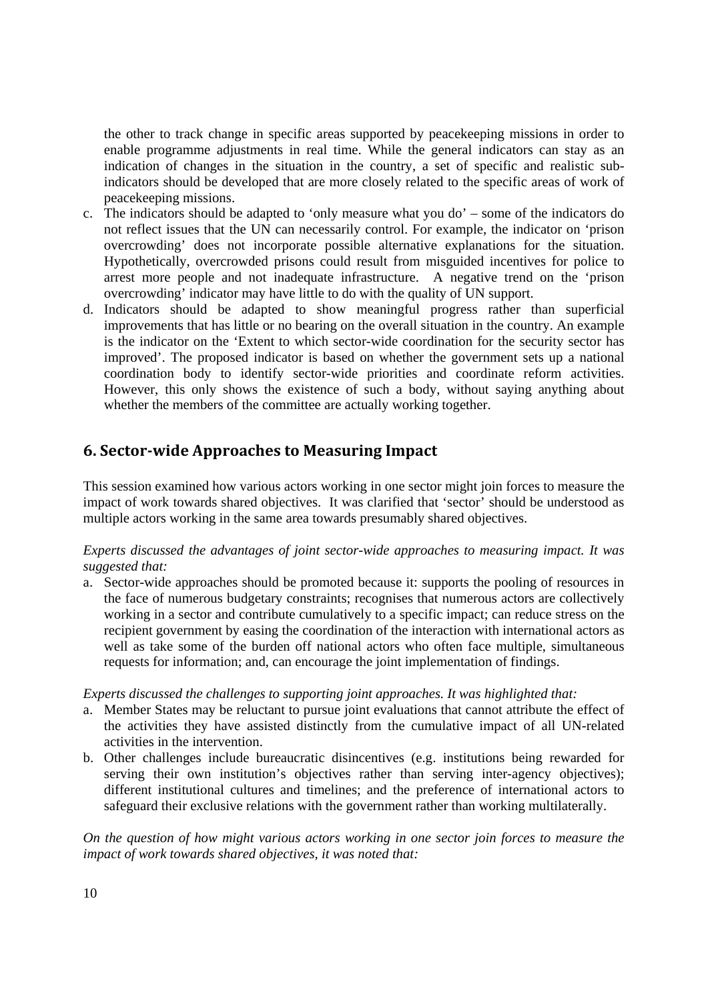the other to track change in specific areas supported by peacekeeping missions in order to enable programme adjustments in real time. While the general indicators can stay as an indication of changes in the situation in the country, a set of specific and realistic subindicators should be developed that are more closely related to the specific areas of work of peacekeeping missions.

- c. The indicators should be adapted to 'only measure what you do' some of the indicators do not reflect issues that the UN can necessarily control. For example, the indicator on 'prison overcrowding' does not incorporate possible alternative explanations for the situation. Hypothetically, overcrowded prisons could result from misguided incentives for police to arrest more people and not inadequate infrastructure. A negative trend on the 'prison overcrowding' indicator may have little to do with the quality of UN support.
- d. Indicators should be adapted to show meaningful progress rather than superficial improvements that has little or no bearing on the overall situation in the country. An example is the indicator on the 'Extent to which sector-wide coordination for the security sector has improved'. The proposed indicator is based on whether the government sets up a national coordination body to identify sector-wide priorities and coordinate reform activities. However, this only shows the existence of such a body, without saying anything about whether the members of the committee are actually working together.

## **6. Sectorwide Approaches to Measuring Impact**

This session examined how various actors working in one sector might join forces to measure the impact of work towards shared objectives. It was clarified that 'sector' should be understood as multiple actors working in the same area towards presumably shared objectives.

*Experts discussed the advantages of joint sector-wide approaches to measuring impact. It was suggested that:* 

a. Sector-wide approaches should be promoted because it: supports the pooling of resources in the face of numerous budgetary constraints; recognises that numerous actors are collectively working in a sector and contribute cumulatively to a specific impact; can reduce stress on the recipient government by easing the coordination of the interaction with international actors as well as take some of the burden off national actors who often face multiple, simultaneous requests for information; and, can encourage the joint implementation of findings.

*Experts discussed the challenges to supporting joint approaches. It was highlighted that:* 

- a. Member States may be reluctant to pursue joint evaluations that cannot attribute the effect of the activities they have assisted distinctly from the cumulative impact of all UN-related activities in the intervention.
- b. Other challenges include bureaucratic disincentives (e.g. institutions being rewarded for serving their own institution's objectives rather than serving inter-agency objectives); different institutional cultures and timelines; and the preference of international actors to safeguard their exclusive relations with the government rather than working multilaterally.

*On the question of how might various actors working in one sector join forces to measure the impact of work towards shared objectives, it was noted that:*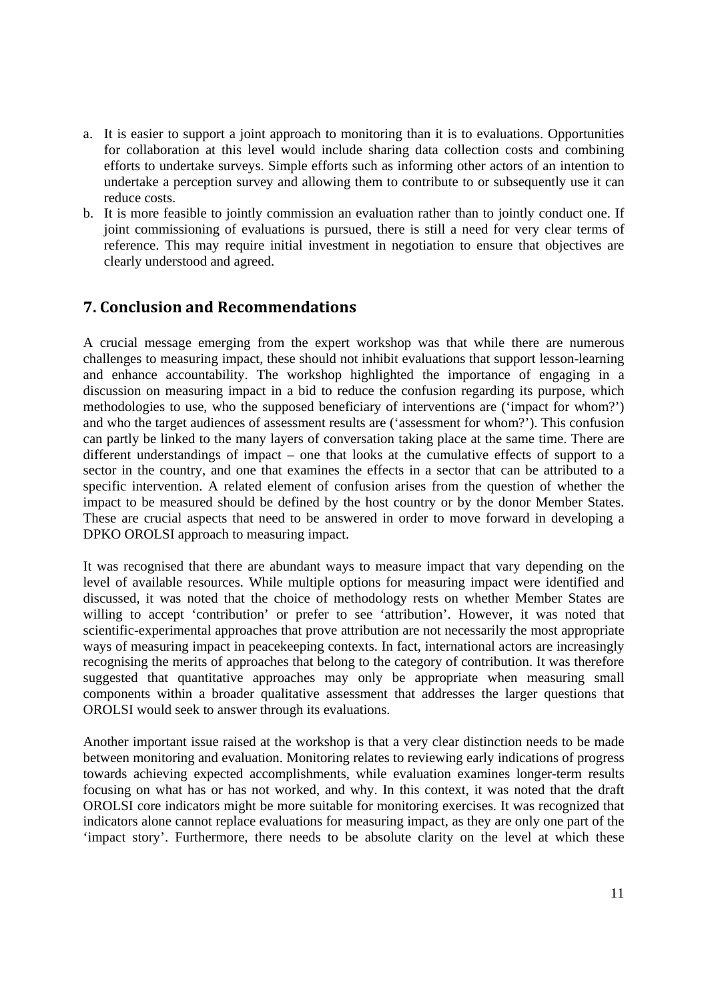- a. It is easier to support a joint approach to monitoring than it is to evaluations. Opportunities for collaboration at this level would include sharing data collection costs and combining efforts to undertake surveys. Simple efforts such as informing other actors of an intention to undertake a perception survey and allowing them to contribute to or subsequently use it can reduce costs.
- b. It is more feasible to jointly commission an evaluation rather than to jointly conduct one. If joint commissioning of evaluations is pursued, there is still a need for very clear terms of reference. This may require initial investment in negotiation to ensure that objectives are clearly understood and agreed.

## **7. Conclusion and Recommendations**

A crucial message emerging from the expert workshop was that while there are numerous challenges to measuring impact, these should not inhibit evaluations that support lesson-learning and enhance accountability. The workshop highlighted the importance of engaging in a discussion on measuring impact in a bid to reduce the confusion regarding its purpose, which methodologies to use, who the supposed beneficiary of interventions are ('impact for whom?') and who the target audiences of assessment results are ('assessment for whom?'). This confusion can partly be linked to the many layers of conversation taking place at the same time. There are different understandings of impact – one that looks at the cumulative effects of support to a sector in the country, and one that examines the effects in a sector that can be attributed to a specific intervention. A related element of confusion arises from the question of whether the impact to be measured should be defined by the host country or by the donor Member States. These are crucial aspects that need to be answered in order to move forward in developing a DPKO OROLSI approach to measuring impact.

It was recognised that there are abundant ways to measure impact that vary depending on the level of available resources. While multiple options for measuring impact were identified and discussed, it was noted that the choice of methodology rests on whether Member States are willing to accept 'contribution' or prefer to see 'attribution'. However, it was noted that scientific-experimental approaches that prove attribution are not necessarily the most appropriate ways of measuring impact in peacekeeping contexts. In fact, international actors are increasingly recognising the merits of approaches that belong to the category of contribution. It was therefore suggested that quantitative approaches may only be appropriate when measuring small components within a broader qualitative assessment that addresses the larger questions that OROLSI would seek to answer through its evaluations.

Another important issue raised at the workshop is that a very clear distinction needs to be made between monitoring and evaluation. Monitoring relates to reviewing early indications of progress towards achieving expected accomplishments, while evaluation examines longer-term results focusing on what has or has not worked, and why. In this context, it was noted that the draft OROLSI core indicators might be more suitable for monitoring exercises. It was recognized that indicators alone cannot replace evaluations for measuring impact, as they are only one part of the 'impact story'. Furthermore, there needs to be absolute clarity on the level at which these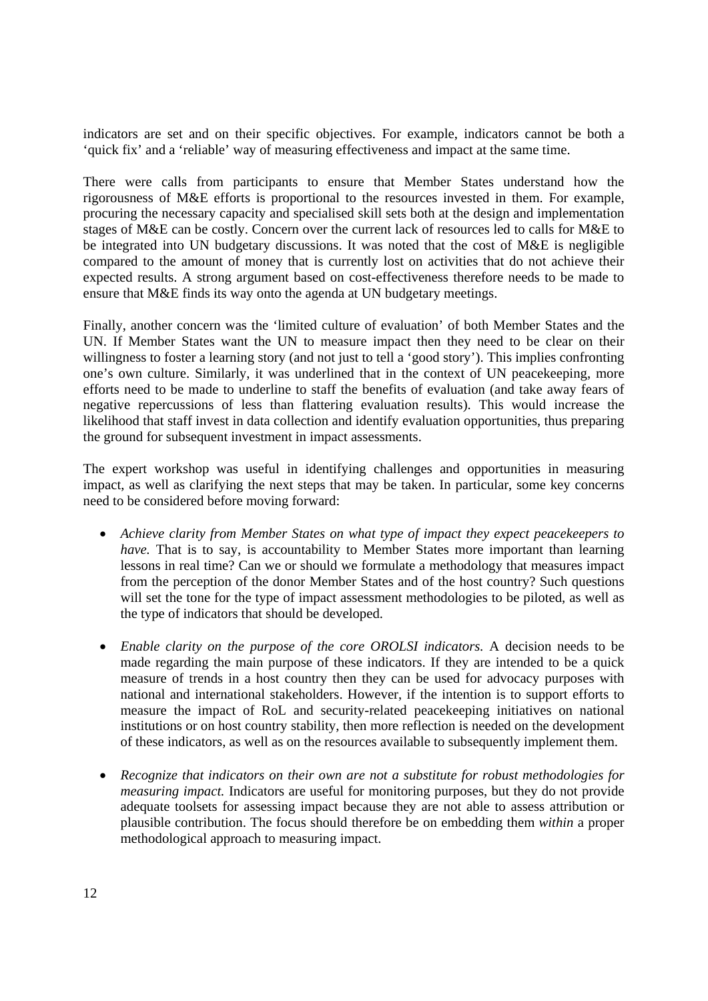indicators are set and on their specific objectives. For example, indicators cannot be both a 'quick fix' and a 'reliable' way of measuring effectiveness and impact at the same time.

There were calls from participants to ensure that Member States understand how the rigorousness of M&E efforts is proportional to the resources invested in them. For example, procuring the necessary capacity and specialised skill sets both at the design and implementation stages of M&E can be costly. Concern over the current lack of resources led to calls for M&E to be integrated into UN budgetary discussions. It was noted that the cost of M&E is negligible compared to the amount of money that is currently lost on activities that do not achieve their expected results. A strong argument based on cost-effectiveness therefore needs to be made to ensure that M&E finds its way onto the agenda at UN budgetary meetings.

Finally, another concern was the 'limited culture of evaluation' of both Member States and the UN. If Member States want the UN to measure impact then they need to be clear on their willingness to foster a learning story (and not just to tell a 'good story'). This implies confronting one's own culture. Similarly, it was underlined that in the context of UN peacekeeping, more efforts need to be made to underline to staff the benefits of evaluation (and take away fears of negative repercussions of less than flattering evaluation results). This would increase the likelihood that staff invest in data collection and identify evaluation opportunities, thus preparing the ground for subsequent investment in impact assessments.

The expert workshop was useful in identifying challenges and opportunities in measuring impact, as well as clarifying the next steps that may be taken. In particular, some key concerns need to be considered before moving forward:

- *Achieve clarity from Member States on what type of impact they expect peacekeepers to have.* That is to say, is accountability to Member States more important than learning lessons in real time? Can we or should we formulate a methodology that measures impact from the perception of the donor Member States and of the host country? Such questions will set the tone for the type of impact assessment methodologies to be piloted, as well as the type of indicators that should be developed.
- *Enable clarity on the purpose of the core OROLSI indicators.* A decision needs to be made regarding the main purpose of these indicators. If they are intended to be a quick measure of trends in a host country then they can be used for advocacy purposes with national and international stakeholders. However, if the intention is to support efforts to measure the impact of RoL and security-related peacekeeping initiatives on national institutions or on host country stability, then more reflection is needed on the development of these indicators, as well as on the resources available to subsequently implement them.
- *Recognize that indicators on their own are not a substitute for robust methodologies for measuring impact.* Indicators are useful for monitoring purposes, but they do not provide adequate toolsets for assessing impact because they are not able to assess attribution or plausible contribution. The focus should therefore be on embedding them *within* a proper methodological approach to measuring impact.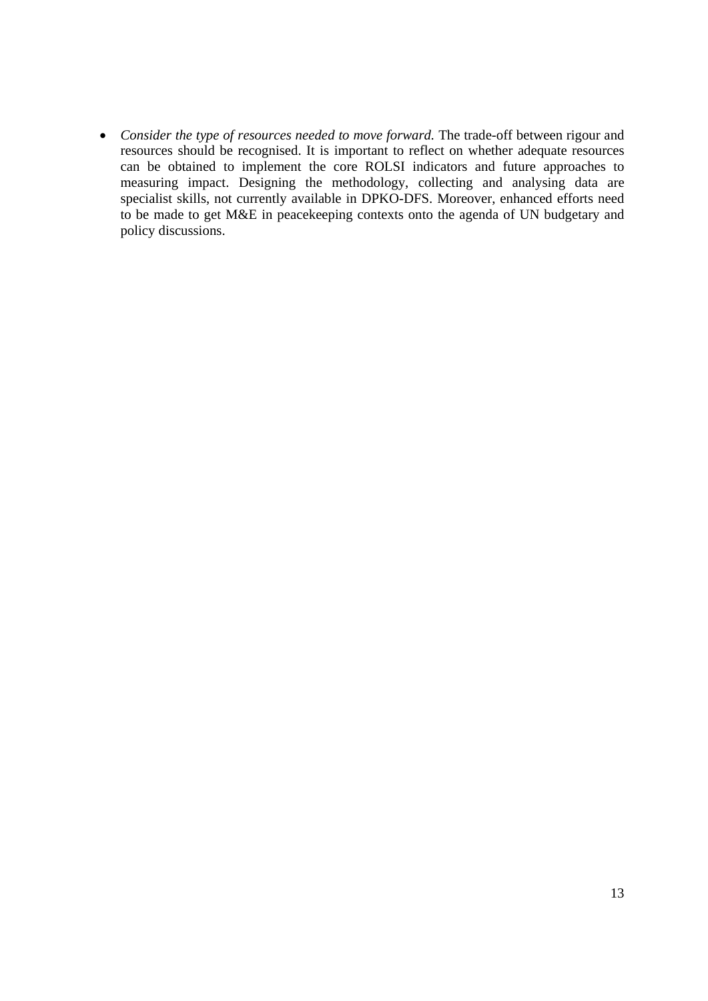*Consider the type of resources needed to move forward.* The trade-off between rigour and resources should be recognised. It is important to reflect on whether adequate resources can be obtained to implement the core ROLSI indicators and future approaches to measuring impact. Designing the methodology, collecting and analysing data are specialist skills, not currently available in DPKO-DFS. Moreover, enhanced efforts need to be made to get M&E in peacekeeping contexts onto the agenda of UN budgetary and policy discussions.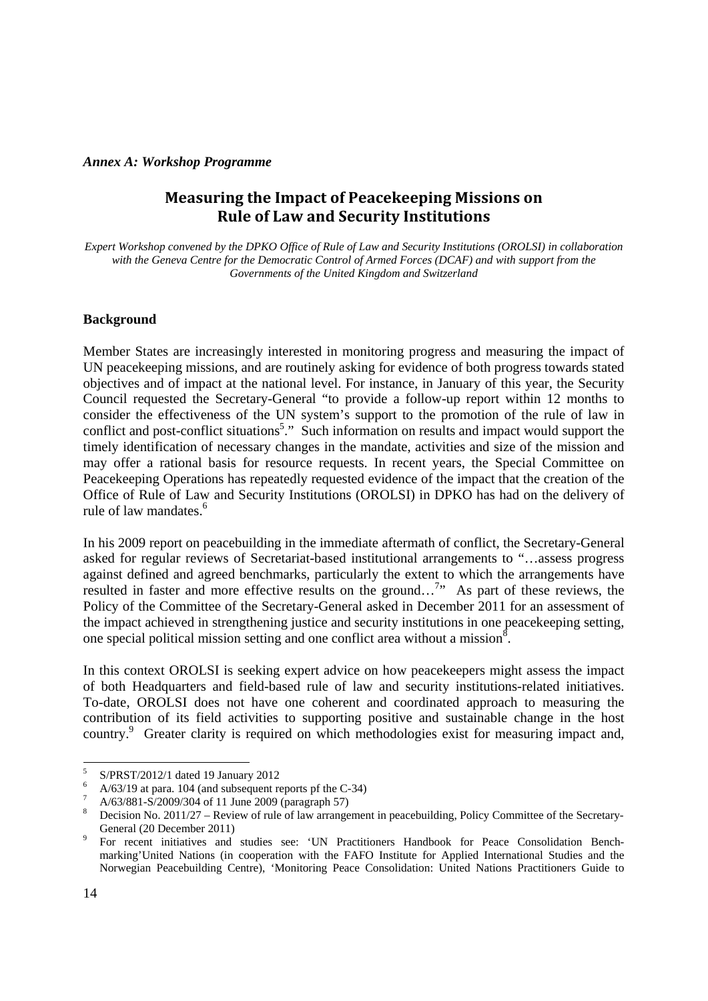## *Annex A: Workshop Programme*

## **Measuring the Impact of Peacekeeping Missions on Rule of Law and Security Institutions**

*Expert Workshop convened by the DPKO Office of Rule of Law and Security Institutions (OROLSI) in collaboration with the Geneva Centre for the Democratic Control of Armed Forces (DCAF) and with support from the Governments of the United Kingdom and Switzerland* 

## **Background**

Member States are increasingly interested in monitoring progress and measuring the impact of UN peacekeeping missions, and are routinely asking for evidence of both progress towards stated objectives and of impact at the national level. For instance, in January of this year, the Security Council requested the Secretary-General "to provide a follow-up report within 12 months to consider the effectiveness of the UN system's support to the promotion of the rule of law in conflict and post-conflict situations<sup>5</sup>." Such information on results and impact would support the timely identification of necessary changes in the mandate, activities and size of the mission and may offer a rational basis for resource requests. In recent years, the Special Committee on Peacekeeping Operations has repeatedly requested evidence of the impact that the creation of the Office of Rule of Law and Security Institutions (OROLSI) in DPKO has had on the delivery of rule of law mandates.<sup>6</sup>

In his 2009 report on peacebuilding in the immediate aftermath of conflict, the Secretary-General asked for regular reviews of Secretariat-based institutional arrangements to "…assess progress against defined and agreed benchmarks, particularly the extent to which the arrangements have resulted in faster and more effective results on the ground...<sup>7</sup>" As part of these reviews, the Policy of the Committee of the Secretary-General asked in December 2011 for an assessment of the impact achieved in strengthening justice and security institutions in one peacekeeping setting, one special political mission setting and one conflict area without a mission $\delta$ .

In this context OROLSI is seeking expert advice on how peacekeepers might assess the impact of both Headquarters and field-based rule of law and security institutions-related initiatives. To-date, OROLSI does not have one coherent and coordinated approach to measuring the contribution of its field activities to supporting positive and sustainable change in the host country.<sup>9</sup> Greater clarity is required on which methodologies exist for measuring impact and,

<u> Andrew Maria (1989)</u>

<sup>5</sup> S/PRST/2012/1 dated 19 January 2012

<sup>6</sup> A/63/19 at para. 104 (and subsequent reports pf the C-34)

<sup>7</sup> A/63/881-S/2009/304 of 11 June 2009 (paragraph 57)

<sup>8</sup> Decision No. 2011/27 – Review of rule of law arrangement in peacebuilding, Policy Committee of the Secretary-General (20 December 2011)

For recent initiatives and studies see: 'UN Practitioners Handbook for Peace Consolidation Benchmarking'United Nations (in cooperation with the FAFO Institute for Applied International Studies and the Norwegian Peacebuilding Centre), 'Monitoring Peace Consolidation: United Nations Practitioners Guide to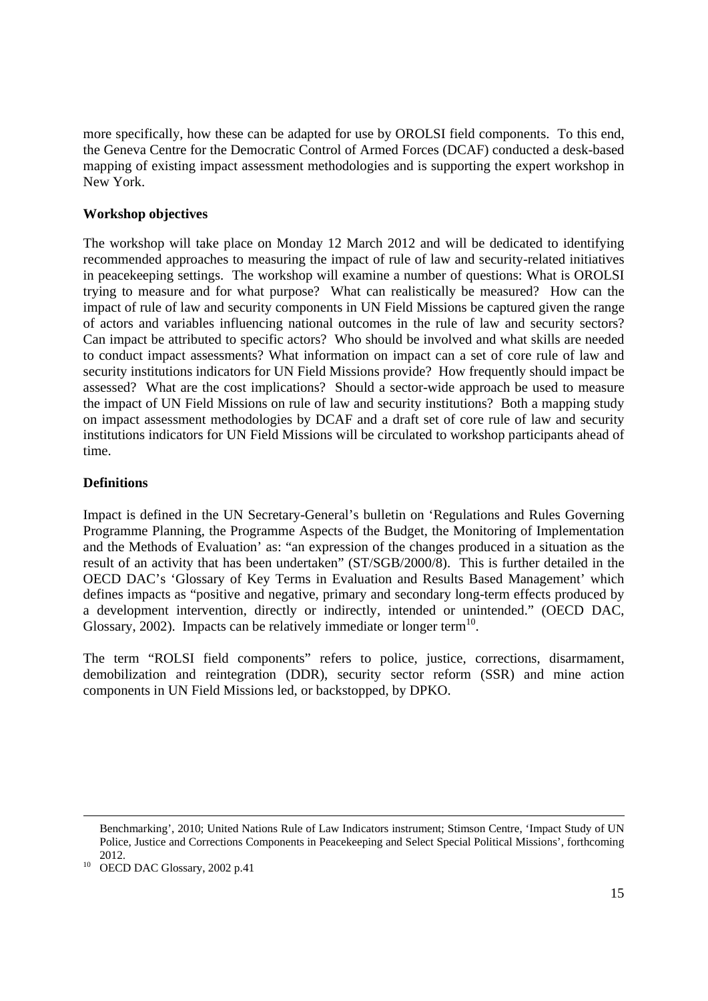more specifically, how these can be adapted for use by OROLSI field components. To this end, the Geneva Centre for the Democratic Control of Armed Forces (DCAF) conducted a desk-based mapping of existing impact assessment methodologies and is supporting the expert workshop in New York.

## **Workshop objectives**

The workshop will take place on Monday 12 March 2012 and will be dedicated to identifying recommended approaches to measuring the impact of rule of law and security-related initiatives in peacekeeping settings. The workshop will examine a number of questions: What is OROLSI trying to measure and for what purpose? What can realistically be measured? How can the impact of rule of law and security components in UN Field Missions be captured given the range of actors and variables influencing national outcomes in the rule of law and security sectors? Can impact be attributed to specific actors? Who should be involved and what skills are needed to conduct impact assessments? What information on impact can a set of core rule of law and security institutions indicators for UN Field Missions provide? How frequently should impact be assessed? What are the cost implications? Should a sector-wide approach be used to measure the impact of UN Field Missions on rule of law and security institutions? Both a mapping study on impact assessment methodologies by DCAF and a draft set of core rule of law and security institutions indicators for UN Field Missions will be circulated to workshop participants ahead of time.

## **Definitions**

Impact is defined in the UN Secretary-General's bulletin on 'Regulations and Rules Governing Programme Planning, the Programme Aspects of the Budget, the Monitoring of Implementation and the Methods of Evaluation' as: "an expression of the changes produced in a situation as the result of an activity that has been undertaken" (ST/SGB/2000/8). This is further detailed in the OECD DAC's 'Glossary of Key Terms in Evaluation and Results Based Management' which defines impacts as "positive and negative, primary and secondary long-term effects produced by a development intervention, directly or indirectly, intended or unintended." (OECD DAC, Glossary, 2002). Impacts can be relatively immediate or longer term<sup>10</sup>.

The term "ROLSI field components" refers to police, justice, corrections, disarmament, demobilization and reintegration (DDR), security sector reform (SSR) and mine action components in UN Field Missions led, or backstopped, by DPKO.

<u> 1989 - Johann Stoff, fransk politik (f. 1989)</u>

Benchmarking', 2010; United Nations Rule of Law Indicators instrument; Stimson Centre, 'Impact Study of UN Police, Justice and Corrections Components in Peacekeeping and Select Special Political Missions', forthcoming

<sup>2012. 10</sup> OECD DAC Glossary, 2002 p.41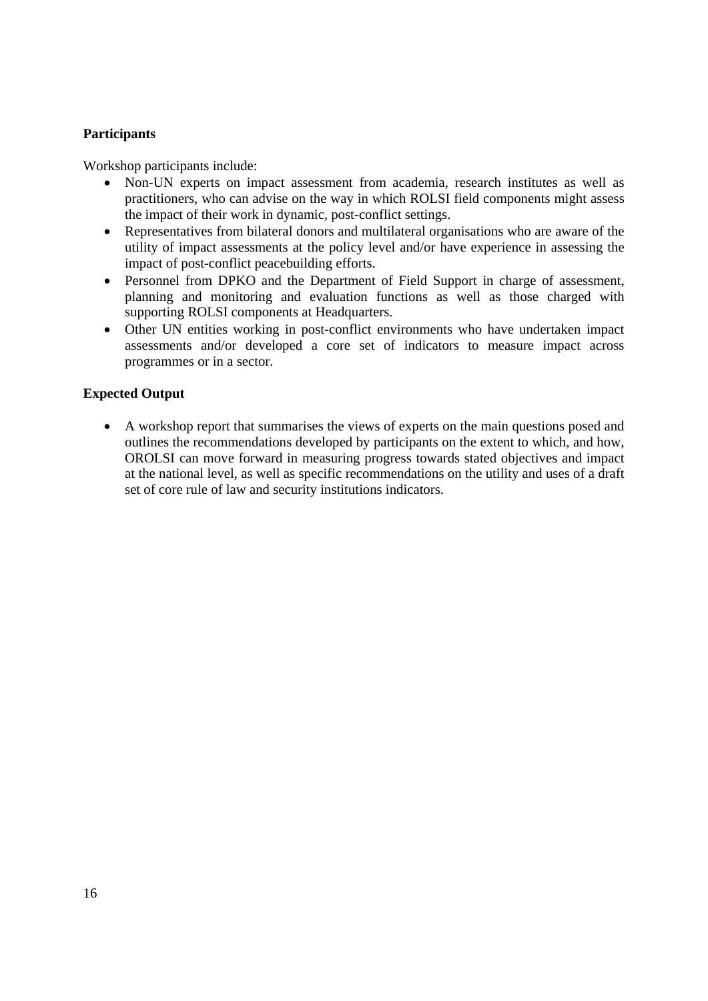## **Participants**

Workshop participants include:

- Non-UN experts on impact assessment from academia, research institutes as well as practitioners, who can advise on the way in which ROLSI field components might assess the impact of their work in dynamic, post-conflict settings.
- Representatives from bilateral donors and multilateral organisations who are aware of the utility of impact assessments at the policy level and/or have experience in assessing the impact of post-conflict peacebuilding efforts.
- Personnel from DPKO and the Department of Field Support in charge of assessment, planning and monitoring and evaluation functions as well as those charged with supporting ROLSI components at Headquarters.
- Other UN entities working in post-conflict environments who have undertaken impact assessments and/or developed a core set of indicators to measure impact across programmes or in a sector.

## **Expected Output**

 A workshop report that summarises the views of experts on the main questions posed and outlines the recommendations developed by participants on the extent to which, and how, OROLSI can move forward in measuring progress towards stated objectives and impact at the national level, as well as specific recommendations on the utility and uses of a draft set of core rule of law and security institutions indicators.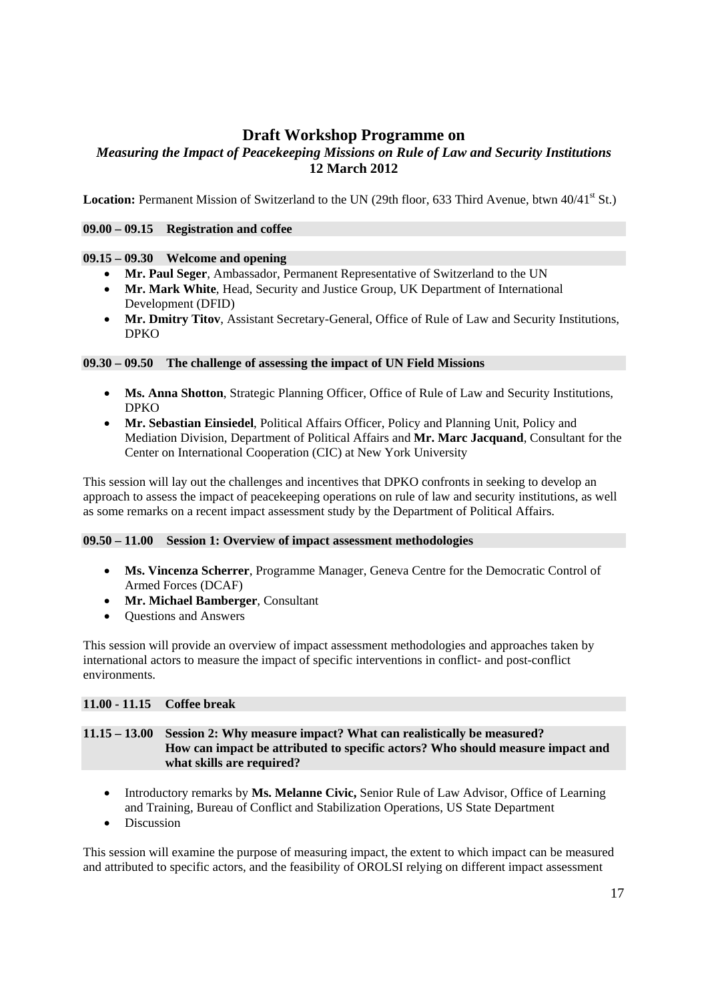## **Draft Workshop Programme on**

## *Measuring the Impact of Peacekeeping Missions on Rule of Law and Security Institutions*  **12 March 2012**

**Location:** Permanent Mission of Switzerland to the UN (29th floor, 633 Third Avenue, btwn 40/41<sup>st</sup> St.)

#### **09.00 – 09.15 Registration and coffee**

## **09.15 – 09.30 Welcome and opening**

- **Mr. Paul Seger**, Ambassador, Permanent Representative of Switzerland to the UN
- **Mr. Mark White**, Head, Security and Justice Group, UK Department of International Development (DFID)
- **Mr. Dmitry Titov**, Assistant Secretary-General, Office of Rule of Law and Security Institutions, DPKO

## **09.30 – 09.50 The challenge of assessing the impact of UN Field Missions**

- **Ms. Anna Shotton**, Strategic Planning Officer, Office of Rule of Law and Security Institutions, DPKO
- **Mr. Sebastian Einsiedel**, Political Affairs Officer, Policy and Planning Unit, Policy and Mediation Division, Department of Political Affairs and **Mr. Marc Jacquand**, Consultant for the Center on International Cooperation (CIC) at New York University

This session will lay out the challenges and incentives that DPKO confronts in seeking to develop an approach to assess the impact of peacekeeping operations on rule of law and security institutions, as well as some remarks on a recent impact assessment study by the Department of Political Affairs.

## **09.50 – 11.00 Session 1: Overview of impact assessment methodologies**

- **Ms. Vincenza Scherrer**, Programme Manager, Geneva Centre for the Democratic Control of Armed Forces (DCAF)
- **Mr. Michael Bamberger**, Consultant
- Questions and Answers

This session will provide an overview of impact assessment methodologies and approaches taken by international actors to measure the impact of specific interventions in conflict- and post-conflict environments.

## **11.00 - 11.15 Coffee break**

#### **11.15 – 13.00 Session 2: Why measure impact? What can realistically be measured? How can impact be attributed to specific actors? Who should measure impact and what skills are required?**

- Introductory remarks by **Ms. Melanne Civic,** Senior Rule of Law Advisor, Office of Learning and Training, Bureau of Conflict and Stabilization Operations, US State Department
- Discussion

This session will examine the purpose of measuring impact, the extent to which impact can be measured and attributed to specific actors, and the feasibility of OROLSI relying on different impact assessment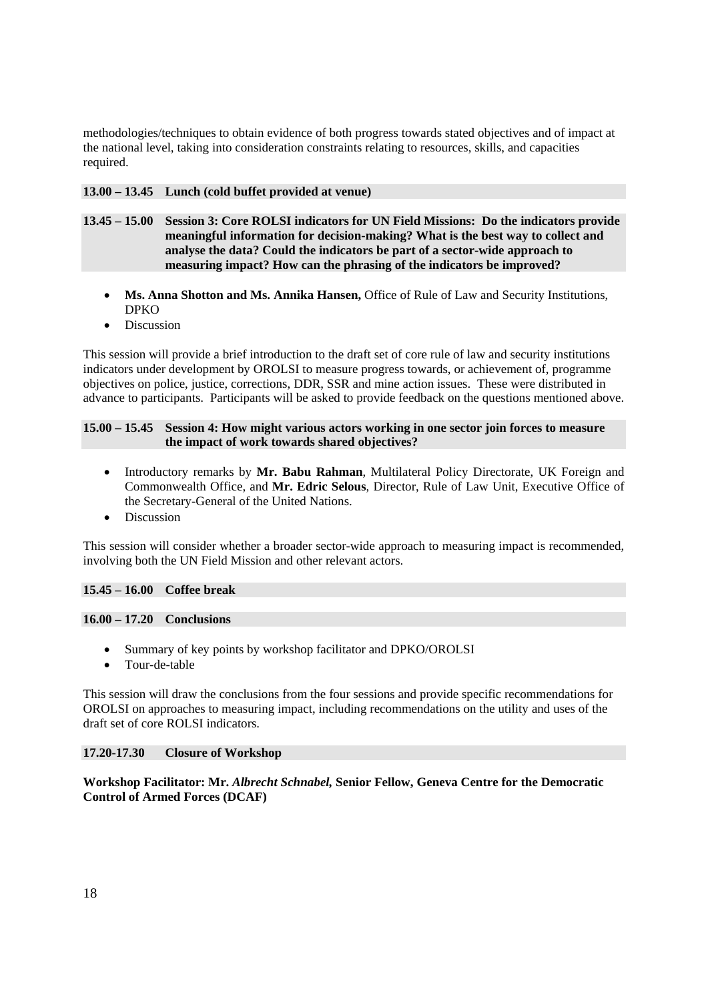methodologies/techniques to obtain evidence of both progress towards stated objectives and of impact at the national level, taking into consideration constraints relating to resources, skills, and capacities required.

## **13.00 – 13.45 Lunch (cold buffet provided at venue)**

- **13.45 15.00 Session 3: Core ROLSI indicators for UN Field Missions: Do the indicators provide meaningful information for decision-making? What is the best way to collect and analyse the data? Could the indicators be part of a sector-wide approach to measuring impact? How can the phrasing of the indicators be improved?** 
	- Ms. Anna Shotton and Ms. Annika Hansen, Office of Rule of Law and Security Institutions, DPKO
	- Discussion

This session will provide a brief introduction to the draft set of core rule of law and security institutions indicators under development by OROLSI to measure progress towards, or achievement of, programme objectives on police, justice, corrections, DDR, SSR and mine action issues. These were distributed in advance to participants. Participants will be asked to provide feedback on the questions mentioned above.

## **15.00 – 15.45 Session 4: How might various actors working in one sector join forces to measure the impact of work towards shared objectives?**

- Introductory remarks by **Mr. Babu Rahman**, Multilateral Policy Directorate, UK Foreign and Commonwealth Office, and **Mr. Edric Selous**, Director, Rule of Law Unit, Executive Office of the Secretary-General of the United Nations.
- Discussion

This session will consider whether a broader sector-wide approach to measuring impact is recommended, involving both the UN Field Mission and other relevant actors.

## **15.45 – 16.00 Coffee break**

#### **16.00 – 17.20 Conclusions**

- Summary of key points by workshop facilitator and DPKO/OROLSI
- Tour-de-table

This session will draw the conclusions from the four sessions and provide specific recommendations for OROLSI on approaches to measuring impact, including recommendations on the utility and uses of the draft set of core ROLSI indicators.

## **17.20-17.30 Closure of Workshop**

**Workshop Facilitator: Mr.** *Albrecht Schnabel,* **Senior Fellow, Geneva Centre for the Democratic Control of Armed Forces (DCAF)**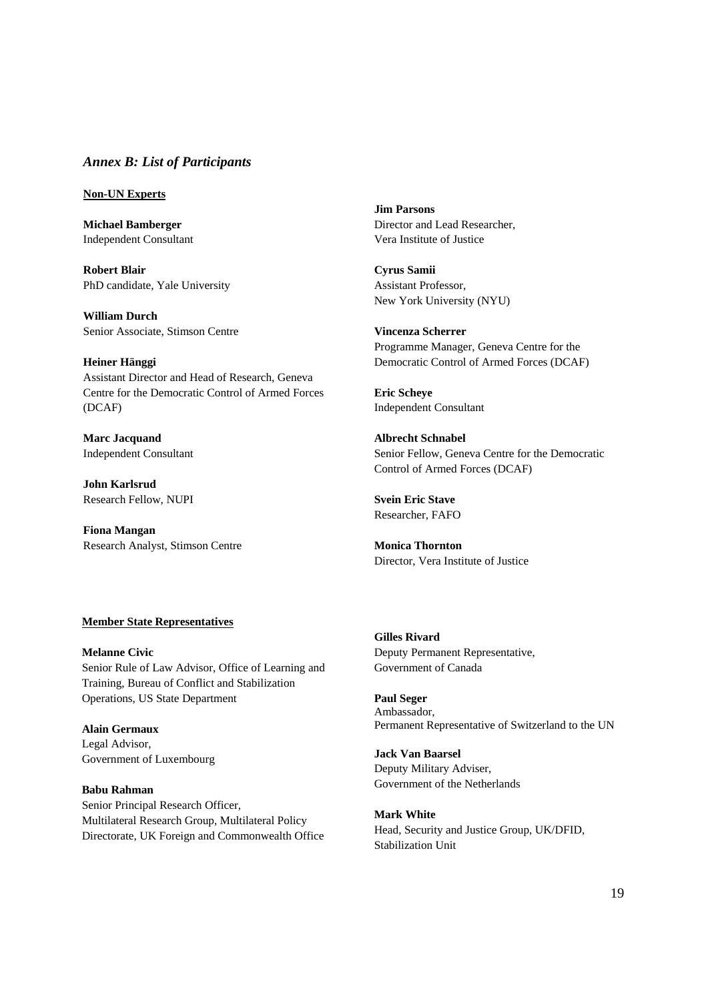#### *Annex B: List of Participants*

#### **Non-UN Experts**

**Michael Bamberger**  Independent Consultant

**Robert Blair**  PhD candidate, Yale University

**William Durch**  Senior Associate, Stimson Centre

**Heiner Hänggi**  Assistant Director and Head of Research, Geneva Centre for the Democratic Control of Armed Forces (DCAF)

**Marc Jacquand**  Independent Consultant

**John Karlsrud**  Research Fellow, NUPI

**Fiona Mangan**  Research Analyst, Stimson Centre **Jim Parsons**  Director and Lead Researcher, Vera Institute of Justice

**Cyrus Samii**  Assistant Professor, New York University (NYU)

**Vincenza Scherrer** Programme Manager, Geneva Centre for the Democratic Control of Armed Forces (DCAF)

**Eric Scheye**  Independent Consultant

**Albrecht Schnabel**  Senior Fellow, Geneva Centre for the Democratic Control of Armed Forces (DCAF)

**Svein Eric Stave**  Researcher, FAFO

**Monica Thornton**  Director, Vera Institute of Justice

#### **Member State Representatives**

**Melanne Civic**  Senior Rule of Law Advisor, Office of Learning and Training, Bureau of Conflict and Stabilization Operations, US State Department

**Alain Germaux**  Legal Advisor, Government of Luxembourg

**Babu Rahman**  Senior Principal Research Officer, Multilateral Research Group, Multilateral Policy Directorate, UK Foreign and Commonwealth Office **Gilles Rivard**  Deputy Permanent Representative, Government of Canada

**Paul Seger** Ambassador, Permanent Representative of Switzerland to the UN

**Jack Van Baarsel**  Deputy Military Adviser, Government of the Netherlands

**Mark White**  Head, Security and Justice Group, UK/DFID, Stabilization Unit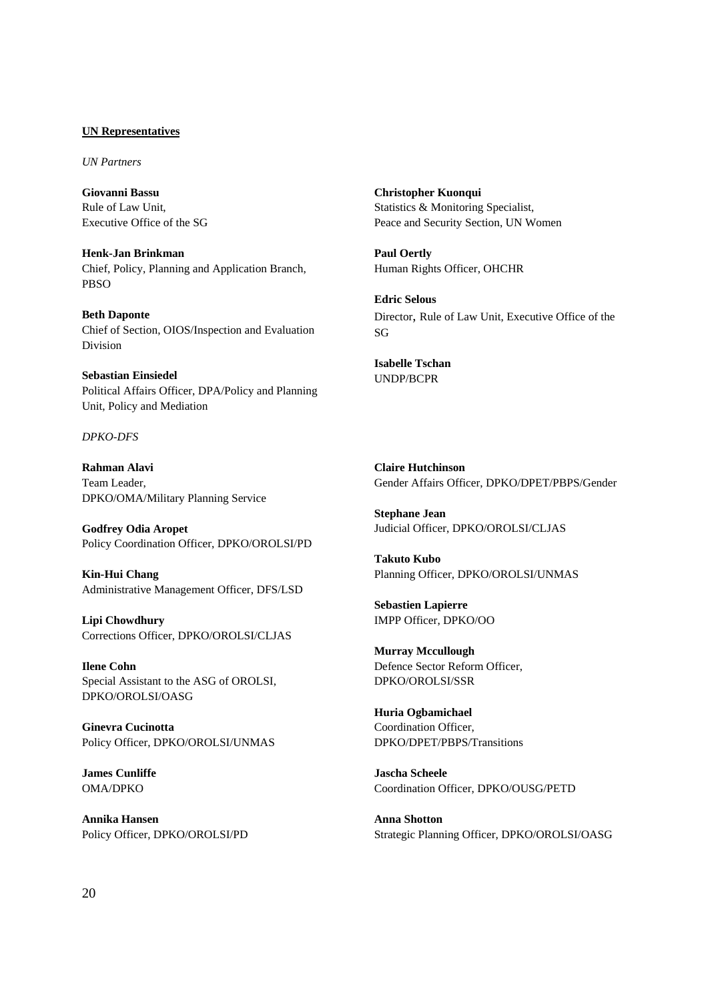#### **UN Representatives**

*UN Partners*

**Giovanni Bassu**  Rule of Law Unit, Executive Office of the SG

**Henk-Jan Brinkman**  Chief, Policy, Planning and Application Branch, PBSO

**Beth Daponte**  Chief of Section, OIOS/Inspection and Evaluation Division

**Sebastian Einsiedel**  Political Affairs Officer, DPA/Policy and Planning Unit, Policy and Mediation

#### *DPKO-DFS*

**Rahman Alavi**  Team Leader, DPKO/OMA/Military Planning Service

**Godfrey Odia Aropet**  Policy Coordination Officer, DPKO/OROLSI/PD

**Kin-Hui Chang**  Administrative Management Officer, DFS/LSD

**Lipi Chowdhury**  Corrections Officer, DPKO/OROLSI/CLJAS

**Ilene Cohn**  Special Assistant to the ASG of OROLSI, DPKO/OROLSI/OASG

**Ginevra Cucinotta**  Policy Officer, DPKO/OROLSI/UNMAS

**James Cunliffe**  OMA/DPKO

**Annika Hansen**  Policy Officer, DPKO/OROLSI/PD **Christopher Kuonqui**  Statistics & Monitoring Specialist, Peace and Security Section, UN Women

**Paul Oertly**  Human Rights Officer, OHCHR

**Edric Selous**  Director, Rule of Law Unit, Executive Office of the SG

**Isabelle Tschan**  UNDP/BCPR

**Claire Hutchinson**  Gender Affairs Officer, DPKO/DPET/PBPS/Gender

**Stephane Jean**  Judicial Officer, DPKO/OROLSI/CLJAS

**Takuto Kubo**  Planning Officer, DPKO/OROLSI/UNMAS

**Sebastien Lapierre**  IMPP Officer, DPKO/OO

**Murray Mccullough**  Defence Sector Reform Officer, DPKO/OROLSI/SSR

**Huria Ogbamichael**  Coordination Officer, DPKO/DPET/PBPS/Transitions

**Jascha Scheele**  Coordination Officer, DPKO/OUSG/PETD

**Anna Shotton**  Strategic Planning Officer, DPKO/OROLSI/OASG